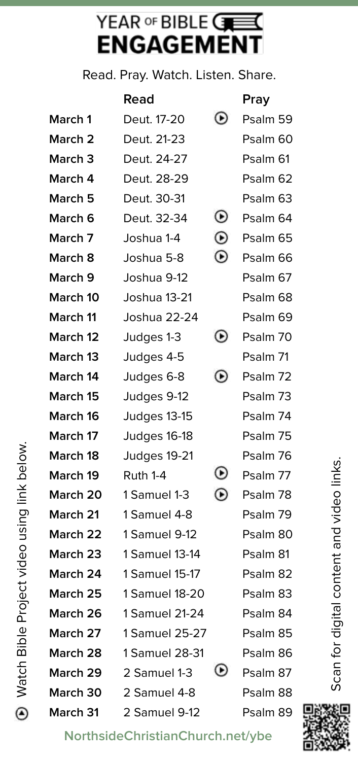## YEAR OF BIBLE CHE **ENGAGEMENT**

Read. Pray. Watch. Listen. Share.

|                    | Read           |                          | Pray     |
|--------------------|----------------|--------------------------|----------|
| March 1            | Deut. 17-20    | ◉                        | Psalm 59 |
| March 2            | Deut. 21-23    |                          | Psalm 60 |
| March <sub>3</sub> | Deut. 24-27    |                          | Psalm 61 |
| March 4            | Deut. 28-29    |                          | Psalm 62 |
| March 5            | Deut. 30-31    |                          | Psalm 63 |
| March 6            | Deut. 32-34    | ◉                        | Psalm 64 |
| March 7            | Joshua 1-4     | $_{\odot}$               | Psalm 65 |
| March 8            | Joshua 5-8     | ◉                        | Psalm 66 |
| March 9            | Joshua 9-12    |                          | Psalm 67 |
| March 10           | Joshua 13-21   |                          | Psalm 68 |
| March 11           | Joshua 22-24   |                          | Psalm 69 |
| March 12           | Judges 1-3     | $_{\odot}$               | Psalm 70 |
| March 13           | Judges 4-5     |                          | Psalm 71 |
| March 14           | Judges 6-8     | ◉                        | Psalm 72 |
| March 15           | Judges 9-12    |                          | Psalm 73 |
| March 16           | Judges 13-15   |                          | Psalm 74 |
| March 17           | Judges 16-18   |                          | Psalm 75 |
| March 18           | Judges 19-21   |                          | Psalm 76 |
| March 19           | Ruth 1-4       | $_{\odot}$               | Psalm 77 |
| March 20           | 1 Samuel 1-3   | ◉                        | Psalm 78 |
| March 21           | 1 Samuel 4-8   |                          | Psalm 79 |
| March 22           | 1 Samuel 9-12  |                          | Psalm 80 |
| March 23           | 1 Samuel 13-14 |                          | Psalm 81 |
| March 24           | 1 Samuel 15-17 |                          | Psalm 82 |
| <b>March 25</b>    | 1 Samuel 18-20 |                          | Psalm 83 |
| March 26           | 1 Samuel 21-24 |                          | Psalm 84 |
| March 27           | 1 Samuel 25-27 |                          | Psalm 85 |
| March 28           | 1 Samuel 28-31 |                          | Psalm 86 |
| March 29           | 2 Samuel 1-3   | $\left( \bullet \right)$ | Psalm 87 |
| March 30           | 2 Samuel 4-8   |                          | Psalm 88 |
| March 31           | 2 Samuel 9-12  |                          | Psalm 89 |

Scan for digital content and video links. Scan for digital content and video links.



**NorthsideChristianChurch.net/ybe**